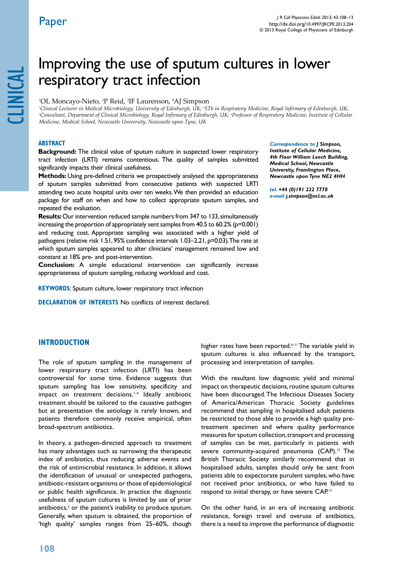# Improving the use of sputum cultures in lower respiratory tract infection

1 OL Moncayo-Nieto, 2 P Reid, 3 IF Laurenson, 4 AJ Simpson

<sup>1</sup>Clinical Lecturer in Medical Microbiology, University of Edinburgh, UK; <sup>2</sup>ST6 in Respiratory Medicine, Royal Infirmary of Edinburgh, UK;<br><sup>3</sup>Consultant, Department of Clinical Microbiology, Royal Infirmary of Edinburgh, *Consultant, Department of Clinical Microbiology, Royal Infirmary of Edinburgh, UK; 4 Professor of Respiratory Medicine, Institute of Cellular Medicine, Medical School, Newcastle University, Newcastle upon Tyne, UK*

#### **ABSTRACT**

**Background:** The clinical value of sputum culture in suspected lower respiratory tract infection (LRTI) remains contentious. The quality of samples submitted significantly impacts their clinical usefulness.

**Methods:** Using pre-defined criteria we prospectively analysed the appropriateness of sputum samples submitted from consecutive patients with suspected LRTI attending two acute hospital units over ten weeks. We then provided an education package for staff on when and how to collect appropriate sputum samples, and repeated the evaluation.

**Results:** Our intervention reduced sample numbers from 347 to 133, simultaneously increasing the proportion of appropriately sent samples from 40.5 to 60.2% (p=0.001) and reducing cost. Appropriate sampling was associated with a higher yield of pathogens (relative risk 1.51, 95% confidence intervals 1.03–2.21, p=0.03). The rate at which sputum samples appeared to alter clinicians' management remained low and constant at 18% pre- and post-intervention.

**Conclusion:** A simple educational intervention can significantly increase appropriateness of sputum sampling, reducing workload and cost.

**KEYWORDS:** Sputum culture, lower respiratory tract infection

**DECLARATION OF INTERESTS** No conflicts of interest declared.

*Correspondence to J Simpson, Institute of Cellular Medicine, 4th Floor William Leech Building, Medical School, Newcastle University, Framlington Place, Newcastle upon Tyne NE2 4HH*

*tel. +44 (0)191 222 7770 e-mail j.simpson@ncl.ac.uk*

# **INTRODUCTION**

The role of sputum sampling in the management of lower respiratory tract infection (LRTI) has been controversial for some time. Evidence suggests that sputum sampling has low sensitivity, specificity and impact on treatment decisions.<sup>1-4</sup> Ideally antibiotic treatment should be tailored to the causative pathogen but at presentation the aetiology is rarely known, and patients therefore commonly receive empirical, often broad-spectrum antibiotics.

In theory, a pathogen-directed approach to treatment has many advantages such as narrowing the therapeutic index of antibiotics, thus reducing adverse events and the risk of antimicrobial resistance. In addition, it allows the identification of unusual or unexpected pathogens, antibiotic-resistant organisms or those of epidemiological or public health significance. In practice the diagnostic usefulness of sputum cultures is limited by use of prior antibiotics,<sup>5</sup> or the patient's inability to produce sputum. Generally, when sputum is obtained, the proportion of 'high quality' samples ranges from 25–60%, though

higher rates have been reported.<sup>6-11</sup> The variable yield in sputum cultures is also influenced by the transport, processing and interpretation of samples.

With the resultant low diagnostic yield and minimal impact on therapeutic decisions, routine sputum cultures have been discouraged. The Infectious Diseases Society of America/American Thoracic Society guidelines recommend that sampling in hospitalised adult patients be restricted to those able to provide a high quality pretreatment specimen and where quality performance measures for sputum collection, transport and processing of samples can be met, particularly in patients with severe community-acquired pneumonia (CAP).<sup>12</sup> The British Thoracic Society similarly recommend that in hospitalised adults, samples should only be sent from patients able to expectorate purulent samples, who have not received prior antibiotics, or who have failed to respond to initial therapy, or have severe CAP.<sup>13</sup>

On the other hand, in an era of increasing antibiotic resistance, foreign travel and overuse of antibiotics, there is a need to improve the performance of diagnostic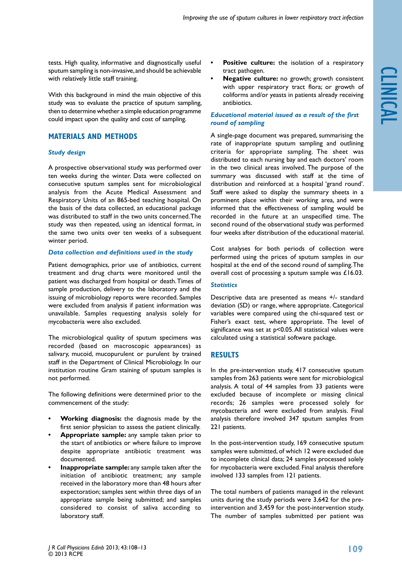tests. High quality, informative and diagnostically useful sputum sampling is non-invasive, and should be achievable with relatively little staff training.

With this background in mind the main objective of this study was to evaluate the practice of sputum sampling, then to determine whether a simple education programme could impact upon the quality and cost of sampling.

# **MATERIALS AND METHODS**

## *Study design*

A prospective observational study was performed over ten weeks during the winter. Data were collected on consecutive sputum samples sent for microbiological analysis from the Acute Medical Assessment and Respiratory Units of an 865-bed teaching hospital. On the basis of the data collected, an educational package was distributed to staff in the two units concerned. The study was then repeated, using an identical format, in the same two units over ten weeks of a subsequent winter period.

#### *Data collection and definitions used in the study*

Patient demographics, prior use of antibiotics, current treatment and drug charts were monitored until the patient was discharged from hospital or death. Times of sample production, delivery to the laboratory and the issuing of microbiology reports were recorded. Samples were excluded from analysis if patient information was unavailable. Samples requesting analysis solely for mycobacteria were also excluded.

The microbiological quality of sputum specimens was recorded (based on macroscopic appearances) as salivary, mucoid, mucopurulent or purulent by trained staff in the Department of Clinical Microbiology. In our institution routine Gram staining of sputum samples is not performed.

The following definitions were determined prior to the commencement of the study:

- **Working diagnosis:** the diagnosis made by the first senior physician to assess the patient clinically.
- **Appropriate sample:** any sample taken prior to the start of antibiotics or where failure to improve despite appropriate antibiotic treatment was documented.
- **Inappropriate sample:** any sample taken after the initiation of antibiotic treatment; any sample received in the laboratory more than 48 hours after expectoration; samples sent within three days of an appropriate sample being submitted; and samples considered to consist of saliva according to laboratory staff.
- **Positive culture:** the isolation of a respiratory tract pathogen.
- **Negative culture:** no growth; growth consistent with upper respiratory tract flora; or growth of coliforms and/or yeasts in patients already receiving antibiotics.

## *Educational material issued as a result of the first round of sampling*

A single-page document was prepared, summarising the rate of inappropriate sputum sampling and outlining criteria for appropriate sampling. The sheet was distributed to each nursing bay and each doctors' room in the two clinical areas involved. The purpose of the summary was discussed with staff at the time of distribution and reinforced at a hospital 'grand round'. Staff were asked to display the summary sheets in a prominent place within their working area, and were informed that the effectiveness of sampling would be recorded in the future at an unspecified time. The second round of the observational study was performed four weeks after distribution of the educational material.

Cost analyses for both periods of collection were performed using the prices of sputum samples in our hospital at the end of the second round of sampling. The overall cost of processing a sputum sample was £16.03.

### *Statistics*

Descriptive data are presented as means +/- standard deviation (SD) or range, where appropriate. Categorical variables were compared using the chi-squared test or Fisher's exact test, where appropriate. The level of significance was set at p<0.05. All statistical values were calculated using a statistical software package.

# **RESULTS**

In the pre-intervention study, 417 consecutive sputum samples from 263 patients were sent for microbiological analysis. A total of 44 samples from 33 patients were excluded because of incomplete or missing clinical records; 26 samples were processed solely for mycobacteria and were excluded from analysis. Final analysis therefore involved 347 sputum samples from 221 patients.

In the post-intervention study, 169 consecutive sputum samples were submitted, of which 12 were excluded due to incomplete clinical data; 24 samples processed solely for mycobacteria were excluded. Final analysis therefore involved 133 samples from 121 patients.

The total numbers of patients managed in the relevant units during the study periods were 3,642 for the preintervention and 3,459 for the post-intervention study. The number of samples submitted per patient was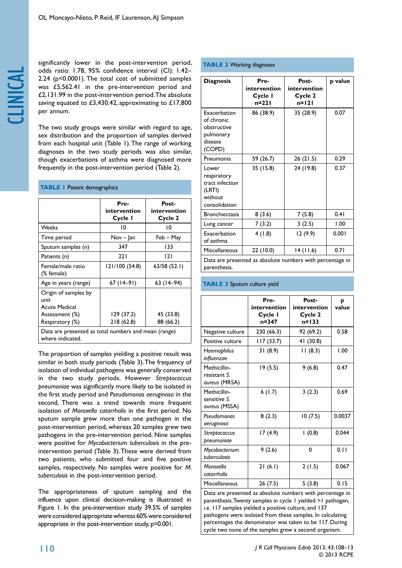significantly lower in the post-intervention period, odds ratio: 1.78, 95% confidence interval (CI): 1.42– 2.24 (p<0.0001). The total cost of submitted samples was £5,562.41 in the pre-intervention period and £2,131.99 in the post-intervention period. The absolute saving equated to £3,430.42, approximating to £17,800 per annum.

The two study groups were similar with regard to age, sex distribution and the proportion of samples derived from each hospital unit (Table 1). The range of working diagnoses in the two study periods was also similar, though exacerbations of asthma were diagnosed more frequently in the post-intervention period (Table 2).

# **TABLE 1 Patient demographics**

clinical

|                                                                                    | Pre-<br>intervention<br>Cycle I | Post-<br>intervention<br>Cycle 2 |  |  |
|------------------------------------------------------------------------------------|---------------------------------|----------------------------------|--|--|
| Weeks                                                                              | 10                              | 10                               |  |  |
| Time period                                                                        | $Nov - Jan$                     | Feb – May                        |  |  |
| Sputum samples (n)                                                                 | 347                             | 133                              |  |  |
| Patients (n)                                                                       | 221                             | 2                                |  |  |
| Female/male ratio<br>(% female)                                                    | 121/100 (54.8)                  | 63/58(52.1)                      |  |  |
| Age in years (range)                                                               | 67 (14–91)                      | 63 (14–94)                       |  |  |
| Origin of samples by<br>unit<br>Acute Medical<br>Assessment (%)<br>Respiratory (%) | 129 (37.2)<br>218 (62.8)        | 45 (33.8)<br>88 (66.2)           |  |  |
| Data are presented as total numbers and mean (range)<br>where indicated.           |                                 |                                  |  |  |

The proportion of samples yielding a positive result was similar in both study periods (Table 3). The frequency of isolation of individual pathogens was generally conserved in the two study periods. However *Streptococcus pneumoniae* was significantly more likely to be isolated in the first study period and *Pseudomonas aeruginosa* in the second. There was a trend towards more frequent isolation of *Moraxella catarrhalis* in the first period. No sputum sample grew more than one pathogen in the post-intervention period, whereas 20 samples grew two pathogens in the pre-intervention period. Nine samples were positive for *Mycobacterium tuberculosis* in the preintervention period (Table 3). These were derived from two patients, who submitted four and five positive samples, respectively. No samples were positive for *M. tuberculosis* in the post-intervention period.

The appropriateness of sputum sampling and the influence upon clinical decision-making is illustrated in Figure 1. In the pre-intervention study 39.5% of samples were considered appropriate whereas 60% were considered appropriate in the post-intervention study, p=0.001.

#### **TABLE 2 Working diagnoses**

| <b>Diagnosis</b>                                                              | Pre-<br>intervention<br>Cycle I<br>$n=221$ | Post-<br>intervention<br>Cycle 2<br>$n=121$ | p value |  |  |
|-------------------------------------------------------------------------------|--------------------------------------------|---------------------------------------------|---------|--|--|
| Exacerbation<br>of chronic<br>obstructive<br>pulmonary<br>disease<br>(COPD)   | 86 (38.9)                                  | 35 (28.9)                                   | 0.07    |  |  |
| Pneumonia                                                                     | 59 (26.7)                                  | 26(21.5)                                    | 0.29    |  |  |
| Lower<br>respiratory<br>tract infection<br>(LRTI)<br>without<br>consolidation | 35 (15.8)                                  | 24 (19.8)                                   | 0.37    |  |  |
| <b>Bronchiectasis</b>                                                         | 8(3.6)                                     | 7(5.8)                                      | 0.41    |  |  |
| Lung cancer                                                                   | 7(3.2)                                     | 3(2.5)                                      | 1.00    |  |  |
| Exacerbation<br>of asthma                                                     | 4(1.8)                                     | 12 (9.9)                                    | 0.001   |  |  |
| <b>Miscellaneous</b>                                                          | 22 (10.0)                                  | 14(11.6)                                    | 0.71    |  |  |
| Data are presented as absolute numbers with percentage in<br>parenthesis.     |                                            |                                             |         |  |  |

#### **TABLE 3 Sputum culture yield**

|                                                                                                                                                                                                                                                                                                                                                                    | Pre-<br>intervention<br>Cycle I<br>$n = 347$ | Post-<br>intervention<br>Cycle 2<br>$n = 133$ | p<br>value |  |  |
|--------------------------------------------------------------------------------------------------------------------------------------------------------------------------------------------------------------------------------------------------------------------------------------------------------------------------------------------------------------------|----------------------------------------------|-----------------------------------------------|------------|--|--|
| Negative culture                                                                                                                                                                                                                                                                                                                                                   | 230 (66.3)                                   | 92 (69.2)                                     | 0.58       |  |  |
| Positive culture                                                                                                                                                                                                                                                                                                                                                   | 117(33.7)                                    | 41 (30.8)                                     |            |  |  |
| Haemophilus<br>influenzae                                                                                                                                                                                                                                                                                                                                          | 31(8.9)                                      | 11(8.3)                                       | 1.00       |  |  |
| Methicillin-<br>resistant S.<br>aureus (MRSA)                                                                                                                                                                                                                                                                                                                      | 19(5.5)                                      | 9(6.8)                                        | 0.47       |  |  |
| Methicillin-<br>sensitive S.<br>aureus (MSSA)                                                                                                                                                                                                                                                                                                                      | 6(1.7)                                       | 3(2.3)                                        | 0.69       |  |  |
| Pseudomonas<br>aeruginosa                                                                                                                                                                                                                                                                                                                                          | 8(2.3)                                       | 10(7.5)                                       | 0.0037     |  |  |
| Streptococcus<br>pneumoniae                                                                                                                                                                                                                                                                                                                                        | 17(4.9)                                      | (0.8)                                         | 0.044      |  |  |
| Mycobacterium<br>tuberculosis                                                                                                                                                                                                                                                                                                                                      | 9(2.6)                                       | 0                                             | 0.11       |  |  |
| Moraxella<br>catarrhalis                                                                                                                                                                                                                                                                                                                                           | 21(6.1)                                      | 2(1.5)                                        | 0.067      |  |  |
| <b>Miscellaneous</b>                                                                                                                                                                                                                                                                                                                                               | 26(7.5)                                      | 5(3.8)                                        | 0.15       |  |  |
| Data are presented as absolute numbers with percentage in<br>parenthesis. Twenty samples in cycle 1 yielded >1 pathogen,<br>i.e. 117 samples yielded a positive culture, and 137<br>pathogens were isolated from these samples. In calculating<br>percentages the denominator was taken to be 117. During<br>cycle two none of the samples grew a second organism. |                                              |                                               |            |  |  |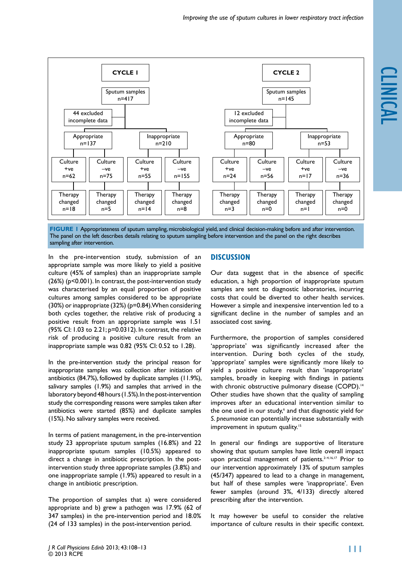

**FIGURE 1** Appropriateness of sputum sampling, microbiological yield, and clinical decision-making before and after intervention. The panel on the left describes details relating to sputum sampling before intervention and the panel on the right describes sampling after intervention.

In the pre-intervention study, submission of an appropriate sample was more likely to yield a positive culture (45% of samples) than an inappropriate sample (26%) (p<0.001). In contrast, the post-intervention study was characterised by an equal proportion of positive cultures among samples considered to be appropriate (30%) or inappropriate (32%) (p=0.84). When considering both cycles together, the relative risk of producing a positive result from an appropriate sample was 1.51 (95% CI: 1.03 to 2.21; p=0.0312). In contrast, the relative risk of producing a positive culture result from an inappropriate sample was 0.82 (95% CI: 0.52 to 1.28).

In the pre-intervention study the principal reason for inappropriate samples was collection after initiation of antibiotics (84.7%), followed by duplicate samples (11.9%), salivary samples (1.9%) and samples that arrived in the laboratory beyond 48 hours (1.5%). In the post-intervention study the corresponding reasons were samples taken after antibiotics were started (85%) and duplicate samples (15%). No salivary samples were received.

In terms of patient management, in the pre-intervention study 23 appropriate sputum samples (16.8%) and 22 inappropriate sputum samples (10.5%) appeared to direct a change in antibiotic prescription. In the postintervention study three appropriate samples (3.8%) and one inappropriate sample (1.9%) appeared to result in a change in antibiotic prescription.

The proportion of samples that a) were considered appropriate and b) grew a pathogen was 17.9% (62 of 347 samples) in the pre-intervention period and 18.0% (24 of 133 samples) in the post-intervention period.

# **DISCUSSION**

Our data suggest that in the absence of specific education, a high proportion of inappropriate sputum samples are sent to diagnostic laboratories, incurring costs that could be diverted to other health services. However a simple and inexpensive intervention led to a significant decline in the number of samples and an associated cost saving.

Furthermore, the proportion of samples considered 'appropriate' was significantly increased after the intervention. During both cycles of the study, 'appropriate' samples were significantly more likely to yield a positive culture result than 'inappropriate' samples, broadly in keeping with findings in patients with chronic obstructive pulmonary disease (COPD).<sup>14</sup> Other studies have shown that the quality of sampling improves after an educational intervention similar to the one used in our study,<sup>6</sup> and that diagnostic yield for *S. pneumoniae* can potentially increase substantially with improvement in sputum quality.<sup>15</sup>

In general our findings are supportive of literature showing that sputum samples have little overall impact upon practical management of patients.<sup>2-4,16,17</sup> Prior to our intervention approximately 13% of sputum samples (45/347) appeared to lead to a change in management, but half of these samples were 'inappropriate'. Even fewer samples (around 3%, 4/133) directly altered prescribing after the intervention.

It may however be useful to consider the relative importance of culture results in their specific context.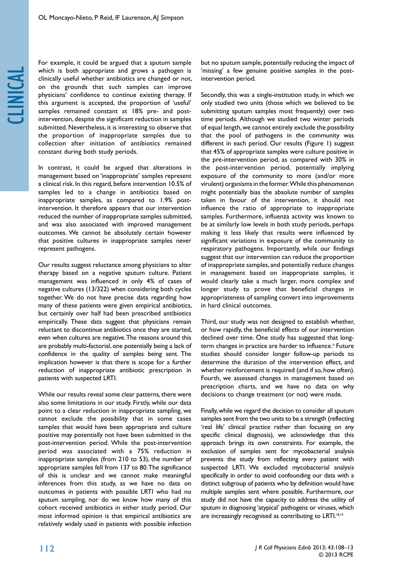For example, it could be argued that a sputum sample which is both appropriate and grows a pathogen is clinically useful whether antibiotics are changed or not, on the grounds that such samples can improve physicians' confidence to continue existing therapy. If this argument is accepted, the proportion of 'useful' samples remained constant at 18% pre- and postintervention, despite the significant reduction in samples submitted. Nevertheless, it is interesting to observe that the proportion of inappropriate samples due to collection after initiation of antibiotics remained constant during both study periods.

clinical

In contrast, it could be argued that alterations in management based on 'inappropriate' samples represent a clinical risk. In this regard, before intervention 10.5% of samples led to a change in antibiotics based on inappropriate samples, as compared to 1.9% postintervention. It therefore appears that our intervention reduced the number of inappropriate samples submitted, and was also associated with improved management outcomes. We cannot be absolutely certain however that positive cultures in inappropriate samples never represent pathogens.

Our results suggest reluctance among physicians to alter therapy based on a negative sputum culture. Patient management was influenced in only 4% of cases of negative cultures (13/322) when considering both cycles together. We do not have precise data regarding how many of these patients were given empirical antibiotics, but certainly over half had been prescribed antibiotics empirically. These data suggest that physicians remain reluctant to discontinue antibiotics once they are started, even when cultures are negative. The reasons around this are probably multi-factorial, one potentially being a lack of confidence in the quality of samples being sent. The implication however is that there is scope for a further reduction of inappropriate antibiotic prescription in patients with suspected LRTI.

While our results reveal some clear patterns, there were also some limitations in our study. Firstly, while our data point to a clear reduction in inappropriate sampling, we cannot exclude the possibility that in some cases samples that would have been appropriate and culture positive may potentially not have been submitted in the post-intervention period. While the post-intervention period was associated with a 75% reduction in inappropriate samples (from 210 to 53), the number of appropriate samples fell from 137 to 80. The significance of this is unclear and we cannot make meaningful inferences from this study, as we have no data on outcomes in patients with possible LRTI who had no sputum sampling, nor do we know how many of this cohort received antibiotics in either study period. Our most informed opinion is that empirical antibiotics are relatively widely used in patients with possible infection

but no sputum sample, potentially reducing the impact of 'missing' a few genuine positive samples in the postintervention period.

Secondly, this was a single-institution study, in which we only studied two units (those which we believed to be submitting sputum samples most frequently) over two time periods. Although we studied two winter periods of equal length, we cannot entirely exclude the possibility that the pool of pathogens in the community was different in each period. Our results (Figure 1) suggest that 45% of appropriate samples were culture positive in the pre-intervention period, as compared with 30% in the post-intervention period, potentially implying exposure of the community to more (and/or more virulent) organisms in the former. While this phenomenon might potentially bias the absolute number of samples taken in favour of the intervention, it should not influence the ratio of appropriate to inappropriate samples. Furthermore, influenza activity was known to be at similarly low levels in both study periods, perhaps making it less likely that results were influenced by significant variations in exposure of the community to respiratory pathogens. Importantly, while our findings suggest that our intervention can reduce the proportion of inappropriate samples, and potentially reduce changes in management based on inappropriate samples, it would clearly take a much larger, more complex and longer study to prove that beneficial changes in appropriateness of sampling convert into improvements in hard clinical outcomes.

Third, our study was not designed to establish whether, or how rapidly, the beneficial effects of our intervention declined over time. One study has suggested that longterm changes in practice are harder to influence.<sup>6</sup> Future studies should consider longer follow-up periods to determine the duration of the intervention effect, and whether reinforcement is required (and if so, how often). Fourth, we assessed changes in management based on prescription charts, and we have no data on why decisions to change treatment (or not) were made.

Finally, while we regard the decision to consider all sputum samples sent from the two units to be a strength (reflecting 'real life' clinical practice rather than focusing on any specific clinical diagnosis), we acknowledge that this approach brings its own constraints. For example, the exclusion of samples sent for mycobacterial analysis prevents the study from reflecting every patient with suspected LRTI. We excluded mycobacterial analysis specifically in order to avoid confounding our data with a distinct subgroup of patients who by definition would have multiple samples sent where possible. Furthermore, our study did not have the capacity to address the utility of sputum in diagnosing 'atypical' pathogens or viruses, which are increasingly recognised as contributing to LRTI.<sup>18,19</sup>